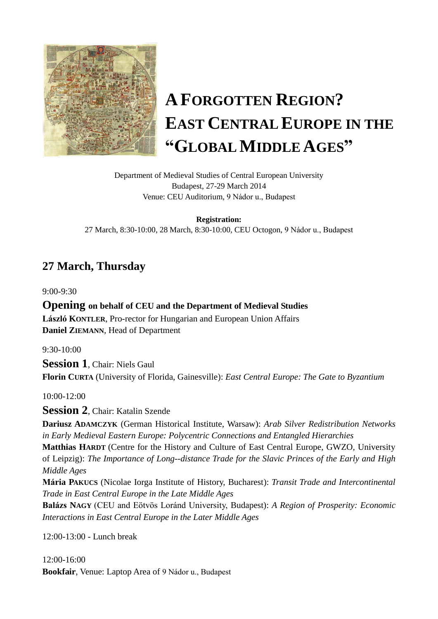

# **AFORGOTTEN REGION? EAST CENTRAL EUROPE IN THE "GLOBAL MIDDLE AGES"**

Department of Medieval Studies of Central European University Budapest, 27-29 March 2014 Venue: CEU Auditorium, 9 Nádor u., Budapest

**Registration:** 27 March, 8:30-10:00, 28 March, 8:30-10:00, CEU Octogon, 9 Nádor u., Budapest

# **27 March, Thursday**

9:00-9:30

**Opening on behalf of CEU and the Department of Medieval Studies László KONTLER**, Pro-rector for Hungarian and European Union Affairs **Daniel ZIEMANN**, Head of Department

9:30-10:00

**Session 1**, Chair: Niels Gaul **Florin CURTA** (University of Florida, Gainesville): *East Central Europe: The Gate to Byzantium*

10:00-12:00

**Session 2**, Chair: Katalin Szende

**Dariusz ADAMCZYK** (German Historical Institute, Warsaw): *Arab Silver Redistribution Networks in Early Medieval Eastern Europe: Polycentric Connections and Entangled Hierarchies*

**Matthias HARDT** (Centre for the History and Culture of East Central Europe, GWZO, University of Leipzig): *The Importance of Long--distance Trade for the Slavic Princes of the Early and High Middle Ages*

**Mária PAKUCS** (Nicolae Iorga Institute of History, Bucharest): *Transit Trade and Intercontinental Trade in East Central Europe in the Late Middle Ages*

**Balázs NAGY** (CEU and Eötvös Loránd University, Budapest): *A Region of Prosperity: Economic Interactions in East Central Europe in the Later Middle Ages*

12:00-13:00 - Lunch break

12:00-16:00 **Bookfair**, Venue: Laptop Area of 9 Nádor u., Budapest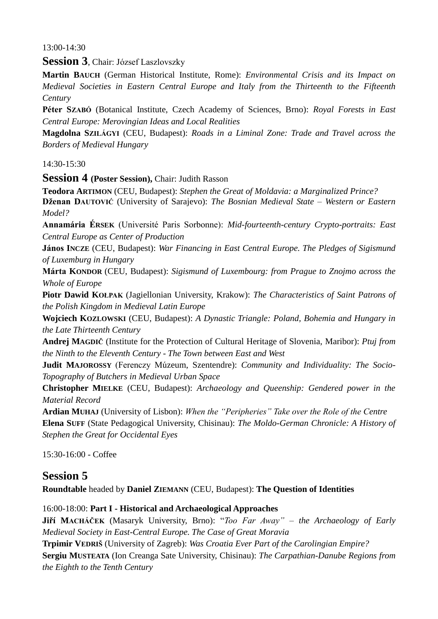$13:00 - 14:30$ 

**Session 3**, Chair: József Laszlovszky

**Martin BAUCH** (German Historical Institute, Rome): *Environmental Crisis and its Impact on Medieval Societies in Eastern Central Europe and Italy from the Thirteenth to the Fifteenth Century*

**Péter SZABÓ** (Botanical Institute, Czech Academy of Sciences, Brno): *Royal Forests in East Central Europe: Merovingian Ideas and Local Realities*

**Magdolna SZILÁGYI** (CEU, Budapest): *Roads in a Liminal Zone: Trade and Travel across the Borders of Medieval Hungary*

 $14:30-15:30$ 

**Session 4 (Poster Session),** Chair: Judith Rasson

**Teodora ARTIMON** (CEU, Budapest): *Stephen the Great of Moldavia: a Marginalized Prince?*

**Dženan DAUTOVIĆ** (University of Sarajevo): *The Bosnian Medieval State – Western or Eastern Model?*

**Annamária ÉRSEK** (Université Paris Sorbonne): *Mid-fourteenth-century Crypto-portraits: East Central Europe as Center of Production*

**János INCZE** (CEU, Budapest): *War Financing in East Central Europe. The Pledges of Sigismund of Luxemburg in Hungary*

**Márta KONDOR** (CEU, Budapest): *Sigismund of Luxembourg: from Prague to Znojmo across the Whole of Europe*

**Piotr Dawid KOŁPAK** (Jagiellonian University, Krakow): *The Characteristics of Saint Patrons of the Polish Kingdom in Medieval Latin Europe*

**Wojciech KOZLOWSKI** (CEU, Budapest): *A Dynastic Triangle: Poland, Bohemia and Hungary in the Late Thirteenth Century*

**Andrej MAGDIČ** (Institute for the Protection of Cultural Heritage of Slovenia, Maribor): *Ptuj from the Ninth to the Eleventh Century - The Town between East and West*

**Judit MAJOROSSY** (Ferenczy Múzeum, Szentendre): *Community and Individuality: The Socio-Topography of Butchers in Medieval Urban Space*

**Christopher MIELKE** (CEU, Budapest): *Archaeology and Queenship: Gendered power in the Material Record*

**Ardian MUHAJ** (University of Lisbon): *When the "Peripheries" Take over the Role of the Centre* **Elena SUFF** (State Pedagogical University, Chisinau): *The Moldo-German Chronicle: A History of Stephen the Great for Occidental Eyes*

15:30-16:00 - Coffee

### **Session 5**

**Roundtable** headed by **Daniel ZIEMANN** (CEU, Budapest): **The Question of Identities** 

### 16:00-18:00: **Part I - Historical and Archaeological Approaches**

**Jiří MACHÁČEK** (Masaryk University, Brno): "*Too Far Away" – the Archaeology of Early Medieval Society in East-Central Europe. The Case of Great Moravia*

**Trpimir VEDRIŠ** (University of Zagreb): *Was Croatia Ever Part of the Carolingian Empire?* **Sergiu MUSTEATA** (Ion Creanga Sate University, Chisinau): *The Carpathian-Danube Regions from the Eighth to the Tenth Century*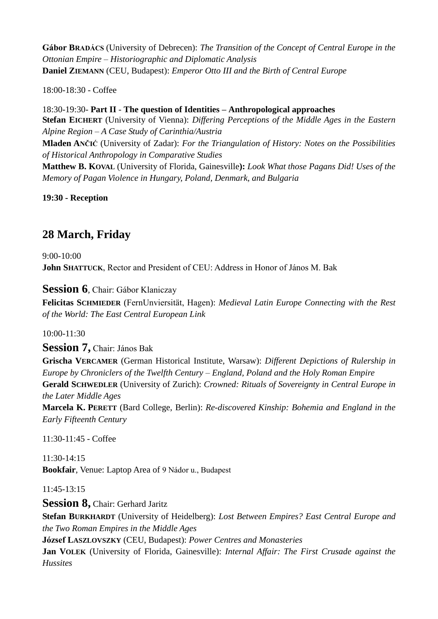**Gábor BRADÁCS** (University of Debrecen): *The Transition of the Concept of Central Europe in the Ottonian Empire – Historiographic and Diplomatic Analysis* **Daniel ZIEMANN** (CEU, Budapest): *Emperor Otto III and the Birth of Central Europe* 

18:00-18:30 - Coffee

18:30-19:30- **Part II** - **The question of Identities – Anthropological approaches Stefan EICHERT** (University of Vienna): *Differing Perceptions of the Middle Ages in the Eastern Alpine Region – A Case Study of Carinthia/Austria* **Mladen ANČIĆ** (University of Zadar): *For the Triangulation of History: Notes on the Possibilities of Historical Anthropology in Comparative Studies* **Matthew B. KOVAL** (University of Florida, Gainesville**):** *Look What those Pagans Did! Uses of the Memory of Pagan Violence in Hungary, Poland, Denmark, and Bulgaria*

**19:30 - Reception**

# **28 March, Friday**

9:00-10:00 **John SHATTUCK**, Rector and President of CEU: Address in Honor of János M. Bak

**Session 6***,* Chair: Gábor Klaniczay

**Felicitas SCHMIEDER** (FernUnviersität, Hagen): *Medieval Latin Europe Connecting with the Rest of the World: The East Central European Link*

10:00-11:30

**Session 7,** Chair: János Bak

**Grischa VERCAMER** (German Historical Institute, Warsaw): *Different Depictions of Rulership in Europe by Chroniclers of the Twelfth Century – England, Poland and the Holy Roman Empire* **Gerald SCHWEDLER** (University of Zurich): *Crowned: Rituals of Sovereignty in Central Europe in the Later Middle Ages*

**Marcela K. PERETT** (Bard College, Berlin): *Re-discovered Kinship: Bohemia and England in the Early Fifteenth Century*

11:30-11:45 - Coffee

11:30-14:15 **Bookfair**, Venue: Laptop Area of 9 Nádor u., Budapest

11:45-13:15

**Session 8,** Chair: Gerhard Jaritz

**Stefan BURKHARDT** (University of Heidelberg): *Lost Between Empires? East Central Europe and the Two Roman Empires in the Middle Ages*

**József LASZLOVSZKY** (CEU, Budapest): *Power Centres and Monasteries*

**Jan VOLEK** (University of Florida, Gainesville): *Internal Affair: The First Crusade against the Hussites*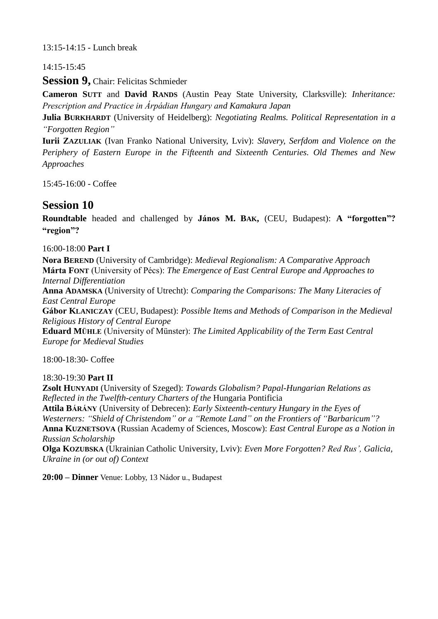### 13:15-14:15 - Lunch break

### 14:15-15:45

**Session 9, Chair: Felicitas Schmieder** 

**Cameron SUTT** and **David RANDS** (Austin Peay State University, Clarksville): *Inheritance: Prescription and Practice in Árpádian Hungary and Kamakura Japan*

**Julia BURKHARDT** (University of Heidelberg): *Negotiating Realms. Political Representation in a "Forgotten Region"*

**Iurii ZAZULIAK** (Ivan Franko National University, Lviv): *Slavery, Serfdom and Violence on the Periphery of Eastern Europe in the Fifteenth and Sixteenth Centuries. Old Themes and New Approaches*

15:45-16:00 - Coffee

## **Session 10**

**Roundtable** headed and challenged by **János M. BAK,** (CEU, Budapest): **A "forgotten"? "region"?**

16:00-18:00 **Part I**

**Nora BEREND** (University of Cambridge): *Medieval Regionalism: A Comparative Approach* **Márta FONT** (University of Pécs): *The Emergence of East Central Europe and Approaches to Internal Differentiation*

**Anna ADAMSKA** (University of Utrecht): *Comparing the Comparisons: The Many Literacies of East Central Europe* 

**Gábor KLANICZAY** (CEU, Budapest): *Possible Items and Methods of Comparison in the Medieval Religious History of Central Europe*

**Eduard MÜHLE** (University of Münster): *The Limited Applicability of the Term East Central Europe for Medieval Studies*

18:00-18:30- Coffee

18:30-19:30 **Part II**

**Zsolt HUNYADI** (University of Szeged): *Towards Globalism? Papal-Hungarian Relations as Reflected in the Twelfth-century Charters of the* Hungaria Pontificia

**Attila BÁRÁNY** (University of Debrecen): *Early Sixteenth-century Hungary in the Eyes of Westerners: "Shield of Christendom" or a "Remote Land" on the Frontiers of "Barbaricum"?*

**Anna KUZNETSOVA** (Russian Academy of Sciences, Moscow): *East Central Europe as a Notion in Russian Scholarship*

**Olga KOZUBSKA** (Ukrainian Catholic University, Lviv): *Even More Forgotten? Red Rus', Galicia, Ukraine in (or out of) Context*

**20:00 – Dinner** Venue: Lobby, 13 Nádor u., Budapest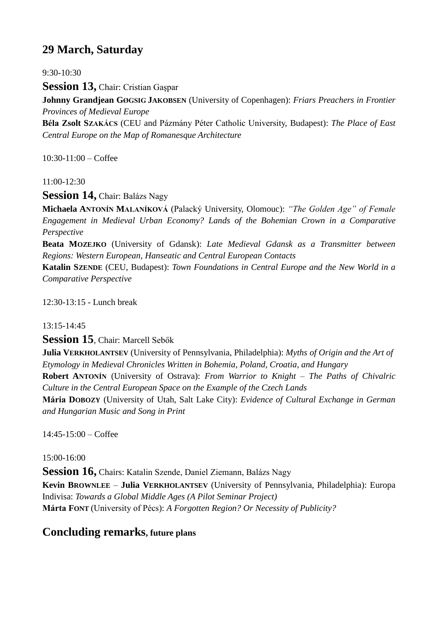# **29 March, Saturday**

 $9.30 - 10.30$ 

**Session 13,** Chair: Cristian Gaşpar

**Johnny Grandjean GØGSIG JAKOBSEN** (University of Copenhagen): *Friars Preachers in Frontier Provinces of Medieval Europe*

**Béla Zsolt SZAKÁCS** (CEU and Pázmány Péter Catholic University, Budapest): *The Place of East Central Europe on the Map of Romanesque Architecture*

 $10:30-11:00 - \text{Coffee}$ 

11:00-12:30

**Session 14,** Chair: Balázs Nagy

**Michaela ANTONÍN MALANÍKOVÁ** (Palacký University, Olomouc): *"The Golden Age" of Female Engagement in Medieval Urban Economy? Lands of the Bohemian Crown in a Comparative Perspective*

**Beata MOZEJKO** (University of Gdansk): *Late Medieval Gdansk as a Transmitter between Regions: Western European, Hanseatic and Central European Contacts*

**Katalin SZENDE** (CEU, Budapest): *Town Foundations in Central Europe and the New World in a Comparative Perspective*

12:30-13:15 - Lunch break

#### 13:15-14:45

**Session 15**, Chair: Marcell Sebők

**Julia VERKHOLANTSEV** (University of Pennsylvania, Philadelphia): *Myths of Origin and the Art of Etymology in Medieval Chronicles Written in Bohemia, Poland, Croatia, and Hungary* **Robert ANTONÍN** (University of Ostrava): *From Warrior to Knight – The Paths of Chivalric Culture in the Central European Space on the Example of the Czech Lands* **Mária DOBOZY** (University of Utah, Salt Lake City): *Evidence of Cultural Exchange in German and Hungarian Music and Song in Print*

14:45-15:00 – Coffee

15:00-16:00

Session 16, Chairs: Katalin Szende, Daniel Ziemann, Balázs Nagy **Kevin BROWNLEE** – **Julia VERKHOLANTSEV** (University of Pennsylvania, Philadelphia): Europa Indivisa: *Towards a Global Middle Ages (A Pilot Seminar Project)* **Márta FONT** (University of Pécs): *A Forgotten Region? Or Necessity of Publicity?*

### **Concluding remarks, future plans**